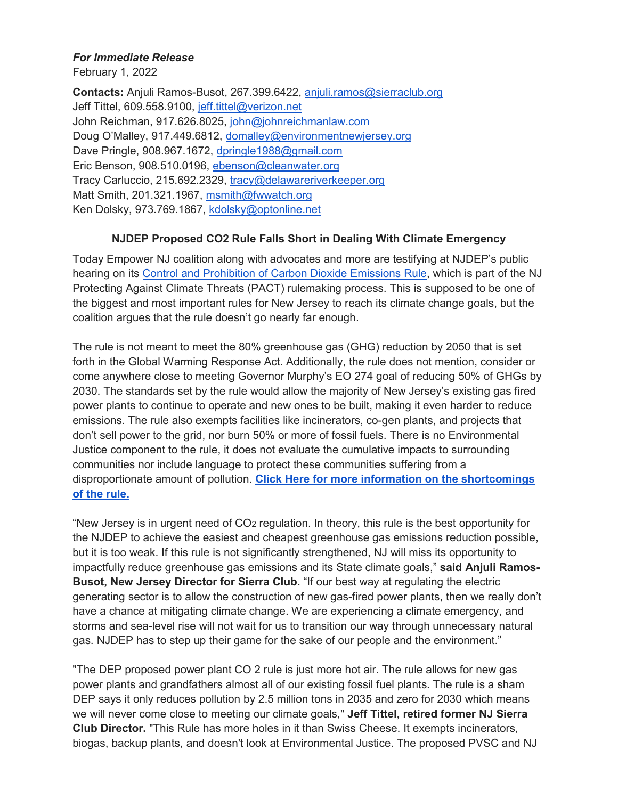## *For Immediate Release*

February 1, 2022

**Contacts:** Anjuli Ramos-Busot, 267.399.6422, [anjuli.ramos@sierraclub.org](mailto:anjuli.ramos@sierraclub.org) Jeff Tittel, 609.558.9100, [jeff.tittel@verizon.net](mailto:jeff.tittel@verizon.net) John Reichman, 917.626.8025, [john@johnreichmanlaw.com](mailto:john@johnreichmanlaw.com) Doug O'Malley, 917.449.6812, [domalley@environmentnewjersey.org](mailto:domalley@environmentnewjersey.org) Dave Pringle, 908.967.1672, [dpringle1988@gmail.com](mailto:dpringle1988@gmail.com) Eric Benson, 908.510.0196, [ebenson@cleanwater.org](mailto:ebenson@cleanwater.org) Tracy Carluccio, 215.692.2329, [tracy@delawareriverkeeper.org](mailto:tracy@delawareriverkeeper.org) Matt Smith, 201.321.1967, [msmith@fwwatch.org](mailto:msmith@fwwatch.org) Ken Dolsky, 973.769.1867, [kdolsky@optonline.net](mailto:kdolsky@optonline.net)

## **NJDEP Proposed CO2 Rule Falls Short in Dealing With Climate Emergency**

Today Empower NJ coalition along with advocates and more are testifying at NJDEP's public hearing on its [Control and Prohibition of Carbon Dioxide Emissions Rule,](https://www.nj.gov/dep/rules/notices/20211206a.html) which is part of the NJ Protecting Against Climate Threats (PACT) rulemaking process. This is supposed to be one of the biggest and most important rules for New Jersey to reach its climate change goals, but the coalition argues that the rule doesn't go nearly far enough.

The rule is not meant to meet the 80% greenhouse gas (GHG) reduction by 2050 that is set forth in the Global Warming Response Act. Additionally, the rule does not mention, consider or come anywhere close to meeting Governor Murphy's EO 274 goal of reducing 50% of GHGs by 2030. The standards set by the rule would allow the majority of New Jersey's existing gas fired power plants to continue to operate and new ones to be built, making it even harder to reduce emissions. The rule also exempts facilities like incinerators, co-gen plants, and projects that don't sell power to the grid, nor burn 50% or more of fossil fuels. There is no Environmental Justice component to the rule, it does not evaluate the cumulative impacts to surrounding communities nor include language to protect these communities suffering from a disproportionate amount of pollution. **[Click Here for more information on the shortcomings](https://bit.ly/3s9xoHO)  [of the rule.](https://bit.ly/3s9xoHO)** 

"New Jersey is in urgent need of CO2 regulation. In theory, this rule is the best opportunity for the NJDEP to achieve the easiest and cheapest greenhouse gas emissions reduction possible, but it is too weak. If this rule is not significantly strengthened, NJ will miss its opportunity to impactfully reduce greenhouse gas emissions and its State climate goals," **said Anjuli Ramos-Busot, New Jersey Director for Sierra Club.** "If our best way at regulating the electric generating sector is to allow the construction of new gas-fired power plants, then we really don't have a chance at mitigating climate change. We are experiencing a climate emergency, and storms and sea-level rise will not wait for us to transition our way through unnecessary natural gas. NJDEP has to step up their game for the sake of our people and the environment."

"The DEP proposed power plant CO 2 rule is just more hot air. The rule allows for new gas power plants and grandfathers almost all of our existing fossil fuel plants. The rule is a sham DEP says it only reduces pollution by 2.5 million tons in 2035 and zero for 2030 which means we will never come close to meeting our climate goals," **Jeff Tittel, retired former NJ Sierra Club Director.** "This Rule has more holes in it than Swiss Cheese. It exempts incinerators, biogas, backup plants, and doesn't look at Environmental Justice. The proposed PVSC and NJ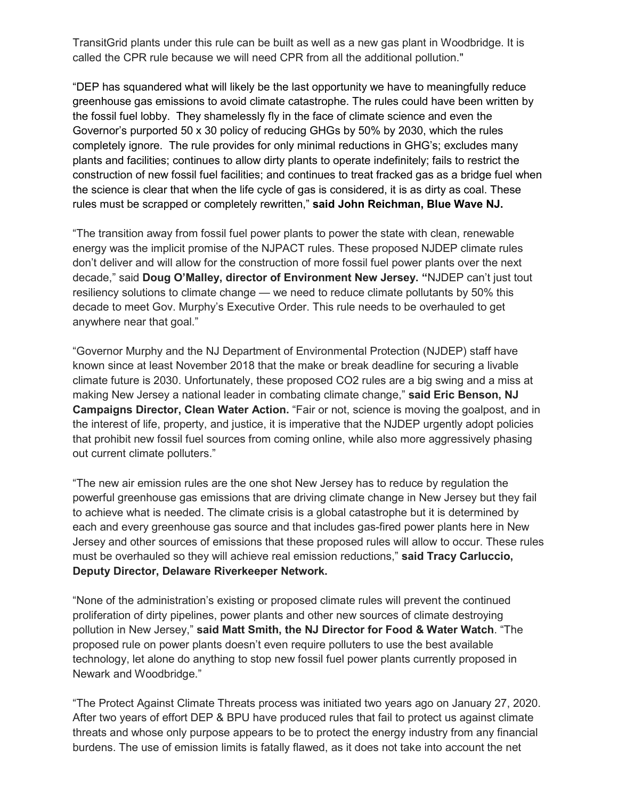TransitGrid plants under this rule can be built as well as a new gas plant in Woodbridge. It is called the CPR rule because we will need CPR from all the additional pollution."

"DEP has squandered what will likely be the last opportunity we have to meaningfully reduce greenhouse gas emissions to avoid climate catastrophe. The rules could have been written by the fossil fuel lobby. They shamelessly fly in the face of climate science and even the Governor's purported 50 x 30 policy of reducing GHGs by 50% by 2030, which the rules completely ignore. The rule provides for only minimal reductions in GHG's; excludes many plants and facilities; continues to allow dirty plants to operate indefinitely; fails to restrict the construction of new fossil fuel facilities; and continues to treat fracked gas as a bridge fuel when the science is clear that when the life cycle of gas is considered, it is as dirty as coal. These rules must be scrapped or completely rewritten," **said John Reichman, Blue Wave NJ.** 

"The transition away from fossil fuel power plants to power the state with clean, renewable energy was the implicit promise of the NJPACT rules. These proposed NJDEP climate rules don't deliver and will allow for the construction of more fossil fuel power plants over the next decade," said **Doug O'Malley, director of Environment New Jersey. "**NJDEP can't just tout resiliency solutions to climate change — we need to reduce climate pollutants by 50% this decade to meet Gov. Murphy's Executive Order. This rule needs to be overhauled to get anywhere near that goal."

"Governor Murphy and the NJ Department of Environmental Protection (NJDEP) staff have known since at least November 2018 that the make or break deadline for securing a livable climate future is 2030. Unfortunately, these proposed CO2 rules are a big swing and a miss at making New Jersey a national leader in combating climate change," **said Eric Benson, NJ Campaigns Director, Clean Water Action.** "Fair or not, science is moving the goalpost, and in the interest of life, property, and justice, it is imperative that the NJDEP urgently adopt policies that prohibit new fossil fuel sources from coming online, while also more aggressively phasing out current climate polluters."

"The new air emission rules are the one shot New Jersey has to reduce by regulation the powerful greenhouse gas emissions that are driving climate change in New Jersey but they fail to achieve what is needed. The climate crisis is a global catastrophe but it is determined by each and every greenhouse gas source and that includes gas-fired power plants here in New Jersey and other sources of emissions that these proposed rules will allow to occur. These rules must be overhauled so they will achieve real emission reductions," **said Tracy Carluccio, Deputy Director, Delaware Riverkeeper Network.**

"None of the administration's existing or proposed climate rules will prevent the continued proliferation of dirty pipelines, power plants and other new sources of climate destroying pollution in New Jersey," **said Matt Smith, the NJ Director for Food & Water Watch**. "The proposed rule on power plants doesn't even require polluters to use the best available technology, let alone do anything to stop new fossil fuel power plants currently proposed in Newark and Woodbridge."

"The Protect Against Climate Threats process was initiated two years ago on January 27, 2020. After two years of effort DEP & BPU have produced rules that fail to protect us against climate threats and whose only purpose appears to be to protect the energy industry from any financial burdens. The use of emission limits is fatally flawed, as it does not take into account the net